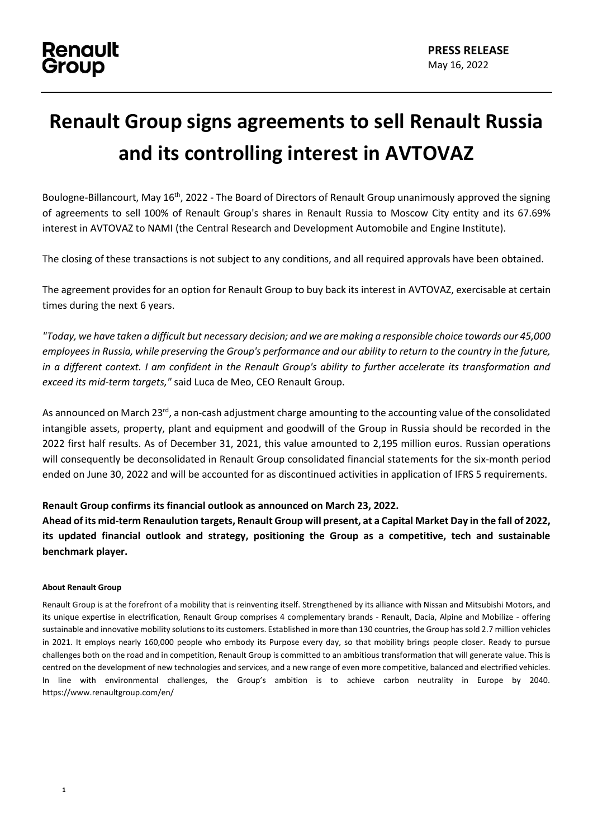## **Renault Group signs agreements to sell Renault Russia and its controlling interest in AVTOVAZ**

Boulogne-Billancourt, May 16<sup>th</sup>, 2022 - The Board of Directors of Renault Group unanimously approved the signing of agreements to sell 100% of Renault Group's shares in Renault Russia to Moscow City entity and its 67.69% interest in AVTOVAZ to NAMI (the Central Research and Development Automobile and Engine Institute).

The closing of these transactions is not subject to any conditions, and all required approvals have been obtained.

The agreement provides for an option for Renault Group to buy back its interest in AVTOVAZ, exercisable at certain times during the next 6 years.

*"Today, we have taken a difficult but necessary decision; and we are making a responsible choice towards our 45,000 employees in Russia, while preserving the Group's performance and our ability to return to the country in the future, in a different context. I am confident in the Renault Group's ability to further accelerate its transformation and exceed its mid-term targets,"* said Luca de Meo, CEO Renault Group.

As announced on March 23<sup>rd</sup>, a non-cash adjustment charge amounting to the accounting value of the consolidated intangible assets, property, plant and equipment and goodwill of the Group in Russia should be recorded in the 2022 first half results. As of December 31, 2021, this value amounted to 2,195 million euros. Russian operations will consequently be deconsolidated in Renault Group consolidated financial statements for the six-month period ended on June 30, 2022 and will be accounted for as discontinued activities in application of IFRS 5 requirements.

## **Renault Group confirms its financial outlook as announced on March 23, 2022.**

**Ahead of its mid-term Renaulution targets, Renault Group will present, at a Capital Market Day in the fall of 2022, its updated financial outlook and strategy, positioning the Group as a competitive, tech and sustainable benchmark player.**

## **About Renault Group**

Renault Group is at the forefront of a mobility that is reinventing itself. Strengthened by its alliance with Nissan and Mitsubishi Motors, and its unique expertise in electrification, Renault Group comprises 4 complementary brands - Renault, Dacia, Alpine and Mobilize - offering sustainable and innovative mobility solutions to its customers. Established in more than 130 countries, the Group has sold 2.7 million vehicles in 2021. It employs nearly 160,000 people who embody its Purpose every day, so that mobility brings people closer. Ready to pursue challenges both on the road and in competition, Renault Group is committed to an ambitious transformation that will generate value. This is centred on the development of new technologies and services, and a new range of even more competitive, balanced and electrified vehicles. In line with environmental challenges, the Group's ambition is to achieve carbon neutrality in Europe by 2040. https://www.renaultgroup.com/en/